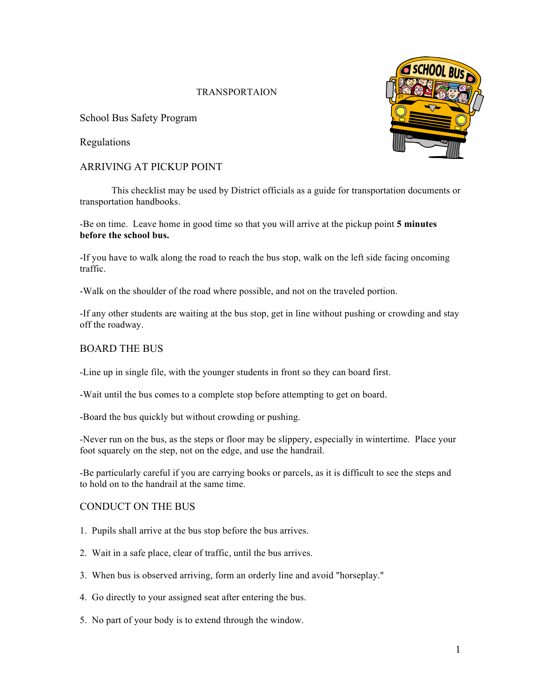# TRANSPORTAION

School Bus Safety Program

Regulations

# ARRIVING AT PICKUP POINT

This checklist may be used by District officials as a guide for transportation documents or transportation handbooks.

-Be on time. Leave home in good time so that you will arrive at the pickup point **5 minutes before the school bus.**

-If you have to walk along the road to reach the bus stop, walk on the left side facing oncoming traffic.

-Walk on the shoulder of the road where possible, and not on the traveled portion.

-If any other students are waiting at the bus stop, get in line without pushing or crowding and stay off the roadway.

### BOARD THE BUS

-Line up in single file, with the younger students in front so they can board first.

-Wait until the bus comes to a complete stop before attempting to get on board.

-Board the bus quickly but without crowding or pushing.

-Never run on the bus, as the steps or floor may be slippery, especially in wintertime. Place your foot squarely on the step, not on the edge, and use the handrail.

-Be particularly careful if you are carrying books or parcels, as it is difficult to see the steps and to hold on to the handrail at the same time.

#### CONDUCT ON THE BUS

- 1. Pupils shall arrive at the bus stop before the bus arrives.
- 2. Wait in a safe place, clear of traffic, until the bus arrives.
- 3. When bus is observed arriving, form an orderly line and avoid "horseplay."
- 4. Go directly to your assigned seat after entering the bus.
- 5. No part of your body is to extend through the window.

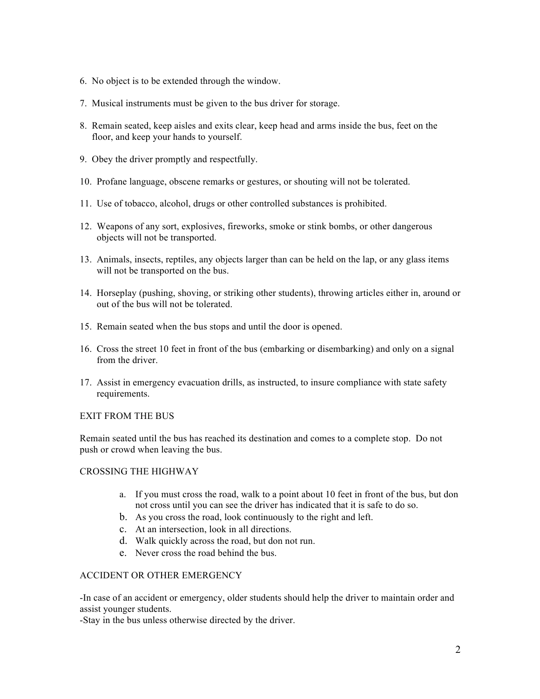- 6. No object is to be extended through the window.
- 7. Musical instruments must be given to the bus driver for storage.
- 8. Remain seated, keep aisles and exits clear, keep head and arms inside the bus, feet on the floor, and keep your hands to yourself.
- 9. Obey the driver promptly and respectfully.
- 10. Profane language, obscene remarks or gestures, or shouting will not be tolerated.
- 11. Use of tobacco, alcohol, drugs or other controlled substances is prohibited.
- 12. Weapons of any sort, explosives, fireworks, smoke or stink bombs, or other dangerous objects will not be transported.
- 13. Animals, insects, reptiles, any objects larger than can be held on the lap, or any glass items will not be transported on the bus.
- 14. Horseplay (pushing, shoving, or striking other students), throwing articles either in, around or out of the bus will not be tolerated.
- 15. Remain seated when the bus stops and until the door is opened.
- 16. Cross the street 10 feet in front of the bus (embarking or disembarking) and only on a signal from the driver.
- 17. Assist in emergency evacuation drills, as instructed, to insure compliance with state safety requirements.

#### EXIT FROM THE BUS

Remain seated until the bus has reached its destination and comes to a complete stop. Do not push or crowd when leaving the bus.

#### CROSSING THE HIGHWAY

- a. If you must cross the road, walk to a point about 10 feet in front of the bus, but don not cross until you can see the driver has indicated that it is safe to do so.
- b. As you cross the road, look continuously to the right and left.
- c. At an intersection, look in all directions.
- d. Walk quickly across the road, but don not run.
- e. Never cross the road behind the bus.

#### ACCIDENT OR OTHER EMERGENCY

-In case of an accident or emergency, older students should help the driver to maintain order and assist younger students.

-Stay in the bus unless otherwise directed by the driver.